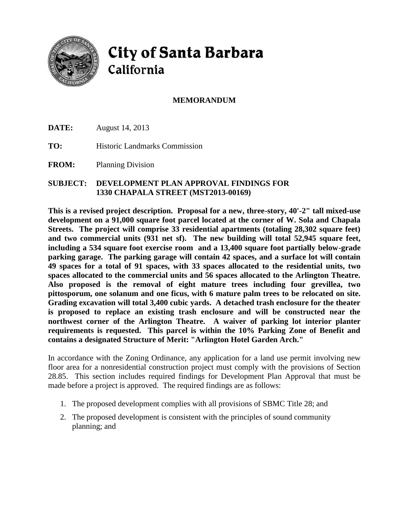

# City of Santa Barbara California

## **MEMORANDUM**

**DATE:** August 14, 2013

**TO:** Historic Landmarks Commission

**FROM:** Planning Division

#### **SUBJECT: DEVELOPMENT PLAN APPROVAL FINDINGS FOR 1330 CHAPALA STREET (MST2013-00169)**

**This is a revised project description. Proposal for a new, three-story, 40'-2" tall mixed-use development on a 91,000 square foot parcel located at the corner of W. Sola and Chapala Streets. The project will comprise 33 residential apartments (totaling 28,302 square feet) and two commercial units (931 net sf). The new building will total 52,945 square feet, including a 534 square foot exercise room and a 13,400 square foot partially below-grade parking garage. The parking garage will contain 42 spaces, and a surface lot will contain 49 spaces for a total of 91 spaces, with 33 spaces allocated to the residential units, two spaces allocated to the commercial units and 56 spaces allocated to the Arlington Theatre. Also proposed is the removal of eight mature trees including four grevillea, two pittosporum, one solanum and one ficus, with 6 mature palm trees to be relocated on site. Grading excavation will total 3,400 cubic yards. A detached trash enclosure for the theater is proposed to replace an existing trash enclosure and will be constructed near the northwest corner of the Arlington Theatre. A waiver of parking lot interior planter requirements is requested. This parcel is within the 10% Parking Zone of Benefit and contains a designated Structure of Merit: "Arlington Hotel Garden Arch."**

In accordance with the Zoning Ordinance, any application for a land use permit involving new floor area for a nonresidential construction project must comply with the provisions of Section 28.85. This section includes required findings for Development Plan Approval that must be made before a project is approved. The required findings are as follows:

- 1. The proposed development complies with all provisions of SBMC Title 28; and
- 2. The proposed development is consistent with the principles of sound community planning; and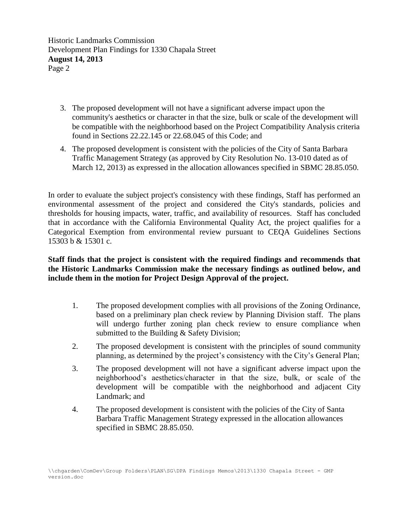Historic Landmarks Commission Development Plan Findings for 1330 Chapala Street **August 14, 2013** Page 2

- 3. The proposed development will not have a significant adverse impact upon the community's aesthetics or character in that the size, bulk or scale of the development will be compatible with the neighborhood based on the Project Compatibility Analysis criteria found in Sections 22.22.145 or 22.68.045 of this Code; and
- 4. The proposed development is consistent with the policies of the City of Santa Barbara Traffic Management Strategy (as approved by City Resolution No. 13-010 dated as of March 12, 2013) as expressed in the allocation allowances specified in SBMC 28.85.050.

In order to evaluate the subject project's consistency with these findings, Staff has performed an environmental assessment of the project and considered the City's standards, policies and thresholds for housing impacts, water, traffic, and availability of resources. Staff has concluded that in accordance with the California Environmental Quality Act, the project qualifies for a Categorical Exemption from environmental review pursuant to CEQA Guidelines Sections 15303 b & 15301 c.

### **Staff finds that the project is consistent with the required findings and recommends that the Historic Landmarks Commission make the necessary findings as outlined below, and include them in the motion for Project Design Approval of the project.**

- 1. The proposed development complies with all provisions of the Zoning Ordinance, based on a preliminary plan check review by Planning Division staff. The plans will undergo further zoning plan check review to ensure compliance when submitted to the Building & Safety Division;
- 2. The proposed development is consistent with the principles of sound community planning, as determined by the project's consistency with the City's General Plan;
- 3. The proposed development will not have a significant adverse impact upon the neighborhood's aesthetics/character in that the size, bulk, or scale of the development will be compatible with the neighborhood and adjacent City Landmark; and
- 4. The proposed development is consistent with the policies of the City of Santa Barbara Traffic Management Strategy expressed in the allocation allowances specified in SBMC 28.85.050.